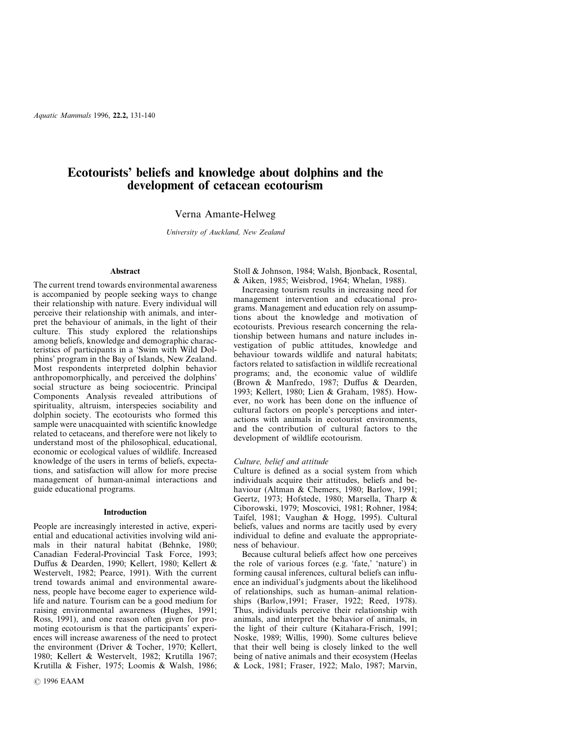# **Ecotourists' beliefs and knowledge about dolphins and the development of cetacean ecotourism**

# Verna Amante-Helweg

*University of Auckland, New Zealand*

# **Abstract**

The current trend towards environmental awareness is accompanied by people seeking ways to change their relationship with nature. Every individual will perceive their relationship with animals, and interpret the behaviour of animals, in the light of their culture. This study explored the relationships among beliefs, knowledge and demographic characteristics of participants in a 'Swim with Wild Dolphins' program in the Bay of Islands, New Zealand. Most respondents interpreted dolphin behavior anthropomorphically, and perceived the dolphins' social structure as being sociocentric. Principal Components Analysis revealed attributions of spirituality, altruism, interspecies sociability and dolphin society. The ecotourists who formed this sample were unacquainted with scientific knowledge related to cetaceans, and therefore were not likely to understand most of the philosophical, educational, economic or ecological values of wildlife. Increased knowledge of the users in terms of beliefs, expectations, and satisfaction will allow for more precise management of human-animal interactions and guide educational programs.

#### **Introduction**

People are increasingly interested in active, experiential and educational activities involving wild animals in their natural habitat (Behnke, 1980; Canadian Federal-Provincial Task Force, 1993; Duffus & Dearden, 1990; Kellert, 1980; Kellert & Westervelt, 1982; Pearce, 1991). With the current trend towards animal and environmental awareness, people have become eager to experience wildlife and nature. Tourism can be a good medium for raising environmental awareness (Hughes, 1991; Ross, 1991), and one reason often given for promoting ecotourism is that the participants' experiences will increase awareness of the need to protect the environment (Driver & Tocher, 1970; Kellert, 1980; Kellert & Westervelt, 1982; Krutilla 1967; Krutilla & Fisher, 1975; Loomis & Walsh, 1986; Stoll & Johnson, 1984; Walsh, Bjonback, Rosental, & Aiken, 1985; Weisbrod, 1964; Whelan, 1988).

Increasing tourism results in increasing need for management intervention and educational programs. Management and education rely on assumptions about the knowledge and motivation of ecotourists. Previous research concerning the relationship between humans and nature includes investigation of public attitudes, knowledge and behaviour towards wildlife and natural habitats; factors related to satisfaction in wildlife recreational programs; and, the economic value of wildlife (Brown & Manfredo, 1987; Duffus & Dearden, 1993; Kellert, 1980; Lien & Graham, 1985). However, no work has been done on the influence of cultural factors on people's perceptions and interactions with animals in ecotourist environments, and the contribution of cultural factors to the development of wildlife ecotourism.

#### *Culture, belief and attitude*

Culture is defined as a social system from which individuals acquire their attitudes, beliefs and behaviour (Altman & Chemers, 1980; Barlow, 1991; Geertz, 1973; Hofstede, 1980; Marsella, Tharp & Ciborowski, 1979; Moscovici, 1981; Rohner, 1984; Taifel, 1981; Vaughan & Hogg, 1995). Cultural beliefs, values and norms are tacitly used by every individual to define and evaluate the appropriateness of behaviour.

Because cultural beliefs affect how one perceives the role of various forces (e.g. 'fate,' 'nature') in forming causal inferences, cultural beliefs can influence an individual's judgments about the likelihood of relationships, such as human–animal relationships (Barlow,1991; Fraser, 1922; Reed, 1978). Thus, individuals perceive their relationship with animals, and interpret the behavior of animals, in the light of their culture (Kitahara-Frisch, 1991; Noske, 1989; Willis, 1990). Some cultures believe that their well being is closely linked to the well being of native animals and their ecosystem (Heelas & Lock, 1981; Fraser, 1922; Malo, 1987; Marvin,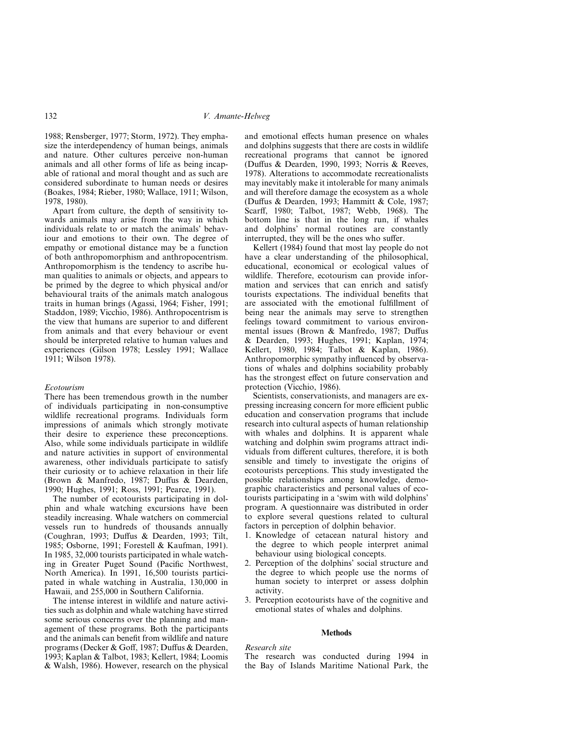1988; Rensberger, 1977; Storm, 1972). They emphasize the interdependency of human beings, animals and nature. Other cultures perceive non-human animals and all other forms of life as being incapable of rational and moral thought and as such are considered subordinate to human needs or desires (Boakes, 1984; Rieber, 1980; Wallace, 1911; Wilson, 1978, 1980).

Apart from culture, the depth of sensitivity towards animals may arise from the way in which individuals relate to or match the animals' behaviour and emotions to their own. The degree of empathy or emotional distance may be a function of both anthropomorphism and anthropocentrism. Anthropomorphism is the tendency to ascribe human qualities to animals or objects, and appears to be primed by the degree to which physical and/or behavioural traits of the animals match analogous traits in human brings (Agassi, 1964; Fisher, 1991; Staddon, 1989; Vicchio, 1986). Anthropocentrism is the view that humans are superior to and different from animals and that every behaviour or event should be interpreted relative to human values and experiences (Gilson 1978; Lessley 1991; Wallace 1911; Wilson 1978).

### *Ecotourism*

There has been tremendous growth in the number of individuals participating in non-consumptive wildlife recreational programs. Individuals form impressions of animals which strongly motivate their desire to experience these preconceptions. Also, while some individuals participate in wildlife and nature activities in support of environmental awareness, other individuals participate to satisfy their curiosity or to achieve relaxation in their life (Brown & Manfredo, 1987; Duffus & Dearden, 1990; Hughes, 1991; Ross, 1991; Pearce, 1991).

The number of ecotourists participating in dolphin and whale watching excursions have been steadily increasing. Whale watchers on commercial vessels run to hundreds of thousands annually (Coughran, 1993; Duffus & Dearden, 1993; Tilt, 1985; Osborne, 1991; Forestell & Kaufman, 1991). In 1985, 32,000 tourists participated in whale watching in Greater Puget Sound (Pacific Northwest, North America). In 1991, 16,500 tourists participated in whale watching in Australia, 130,000 in Hawaii, and 255,000 in Southern California.

The intense interest in wildlife and nature activities such as dolphin and whale watching have stirred some serious concerns over the planning and management of these programs. Both the participants and the animals can benefit from wildlife and nature programs (Decker & Goff, 1987; Duffus & Dearden, 1993; Kaplan & Talbot, 1983; Kellert, 1984; Loomis & Walsh, 1986). However, research on the physical and emotional effects human presence on whales and dolphins suggests that there are costs in wildlife recreational programs that cannot be ignored (Duffus & Dearden, 1990, 1993; Norris & Reeves, 1978). Alterations to accommodate recreationalists may inevitably make it intolerable for many animals and will therefore damage the ecosystem as a whole (Duffus & Dearden, 1993; Hammitt & Cole, 1987; Scarff, 1980; Talbot, 1987; Webb, 1968). The bottom line is that in the long run, if whales and dolphins' normal routines are constantly interrupted, they will be the ones who suffer.

Kellert (1984) found that most lay people do not have a clear understanding of the philosophical, educational, economical or ecological values of wildlife. Therefore, ecotourism can provide information and services that can enrich and satisfy tourists expectations. The individual benefits that are associated with the emotional fulfillment of being near the animals may serve to strengthen feelings toward commitment to various environmental issues (Brown & Manfredo, 1987; Duffus & Dearden, 1993; Hughes, 1991; Kaplan, 1974; Kellert, 1980, 1984; Talbot & Kaplan, 1986). Anthropomorphic sympathy influenced by observations of whales and dolphins sociability probably has the strongest effect on future conservation and protection (Vicchio, 1986).

Scientists, conservationists, and managers are expressing increasing concern for more efficient public education and conservation programs that include research into cultural aspects of human relationship with whales and dolphins. It is apparent whale watching and dolphin swim programs attract individuals from different cultures, therefore, it is both sensible and timely to investigate the origins of ecotourists perceptions. This study investigated the possible relationships among knowledge, demographic characteristics and personal values of ecotourists participating in a 'swim with wild dolphins' program. A questionnaire was distributed in order to explore several questions related to cultural factors in perception of dolphin behavior.

- 1. Knowledge of cetacean natural history and the degree to which people interpret animal behaviour using biological concepts.
- 2. Perception of the dolphins' social structure and the degree to which people use the norms of human society to interpret or assess dolphin activity.
- 3. Perception ecotourists have of the cognitive and emotional states of whales and dolphins.

### **Methods**

### *Research site*

The research was conducted during 1994 in the Bay of Islands Maritime National Park, the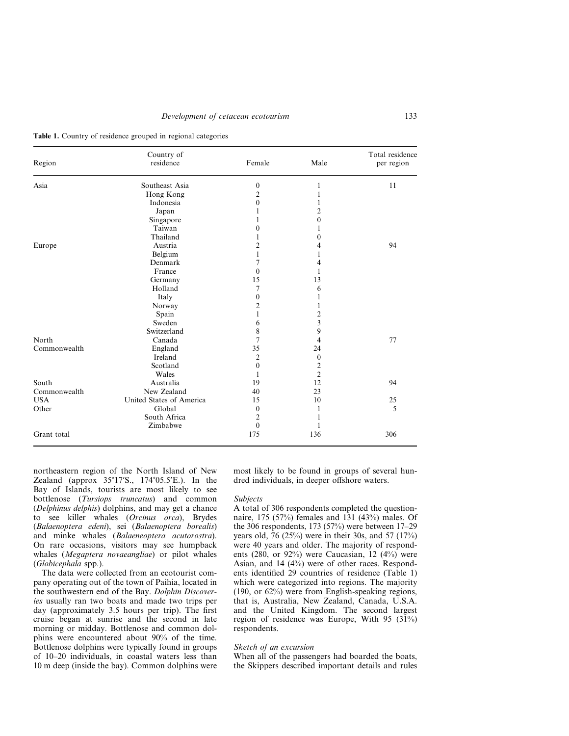|  |  | <b>Table 1.</b> Country of residence grouped in regional categories |  |  |  |
|--|--|---------------------------------------------------------------------|--|--|--|
|  |  |                                                                     |  |  |  |
|  |  |                                                                     |  |  |  |

| Region       | Country of<br>residence  | Female           | Male           | Total residence<br>per region |
|--------------|--------------------------|------------------|----------------|-------------------------------|
| Asia         | Southeast Asia           | 0                | 1              | 11                            |
|              | Hong Kong                | $\overline{2}$   |                |                               |
|              | Indonesia                | 0                |                |                               |
|              | Japan                    |                  | 2              |                               |
|              | Singapore                |                  | $\theta$       |                               |
|              | Taiwan                   | 0                |                |                               |
|              | Thailand                 |                  | 0              |                               |
| Europe       | Austria                  | $\overline{c}$   | 4              | 94                            |
|              | Belgium                  | 1                |                |                               |
|              | Denmark                  | 7                | 4              |                               |
|              | France                   | $\theta$         |                |                               |
|              | Germany                  | 15               | 13             |                               |
|              | Holland                  | 7                | 6              |                               |
|              | Italy                    | 0                |                |                               |
|              | Norway                   | $\overline{2}$   |                |                               |
|              | Spain                    | 1                | $\overline{c}$ |                               |
|              | Sweden                   | 6                | 3              |                               |
|              | Switzerland              | 8                | 9              |                               |
| North        | Canada                   | 7                | 4              | 77                            |
| Commonwealth | England                  | 35               | 24             |                               |
|              | Ireland                  | $\overline{2}$   | $\mathbf{0}$   |                               |
|              | Scotland                 | $\theta$         | $\overline{c}$ |                               |
|              | Wales                    |                  | $\overline{2}$ |                               |
| South        | Australia                | 19               | 12             | 94                            |
| Commonwealth | New Zealand              | 40               | 23             |                               |
| <b>USA</b>   | United States of America | 15               | 10             | 25                            |
| Other        | Global                   | $\boldsymbol{0}$ |                | 5                             |
|              | South Africa             | $\overline{c}$   |                |                               |
|              | Zimbabwe                 | $\mathbf{0}$     |                |                               |
| Grant total  |                          | 175              | 136            | 306                           |

northeastern region of the North Island of New Zealand (approx 35°17'S., 174°05.5'E.). In the Bay of Islands, tourists are most likely to see bottlenose (*Tursiops truncatus*) and common (*Delphinus delphis*) dolphins, and may get a chance to see killer whales (*Orcinus orca*), Brydes (*Balaenoptera edeni*), sei (*Balaenoptera borealis*) and minke whales (*Balaeneoptera acutorostra*). On rare occasions, visitors may see humpback whales (*Megaptera novaeangliae*) or pilot whales (*Globicephala* spp.).

The data were collected from an ecotourist company operating out of the town of Paihia, located in the southwestern end of the Bay. *Dolphin Discoveries* usually ran two boats and made two trips per day (approximately 3.5 hours per trip). The first cruise began at sunrise and the second in late morning or midday. Bottlenose and common dolphins were encountered about 90% of the time. Bottlenose dolphins were typically found in groups of 10–20 individuals, in coastal waters less than 10 m deep (inside the bay). Common dolphins were

most likely to be found in groups of several hundred individuals, in deeper offshore waters.

#### *Subjects*

A total of 306 respondents completed the questionnaire, 175 (57%) females and 131 (43%) males. Of the 306 respondents, 173 (57%) were between 17–29 years old, 76 (25%) were in their 30s, and 57 (17%) were 40 years and older. The majority of respondents  $(280, \text{ or } 92\%)$  were Caucasian, 12  $(4\%)$  were Asian, and 14 (4%) were of other races. Respondents identified 29 countries of residence (Table 1) which were categorized into regions. The majority (190, or 62%) were from English-speaking regions, that is, Australia, New Zealand, Canada, U.S.A. and the United Kingdom. The second largest region of residence was Europe, With 95 (31%) respondents.

### *Sketch of an excursion*

When all of the passengers had boarded the boats, the Skippers described important details and rules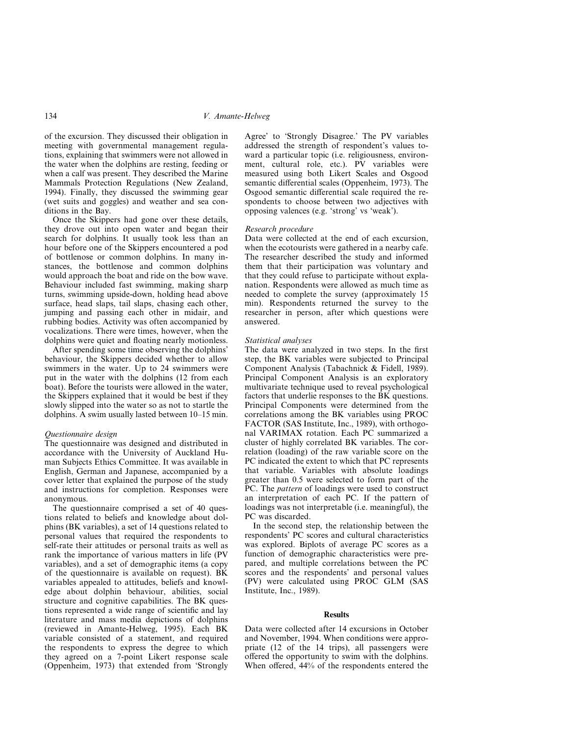of the excursion. They discussed their obligation in meeting with governmental management regulations, explaining that swimmers were not allowed in the water when the dolphins are resting, feeding or when a calf was present. They described the Marine Mammals Protection Regulations (New Zealand, 1994). Finally, they discussed the swimming gear (wet suits and goggles) and weather and sea conditions in the Bay.

Once the Skippers had gone over these details, they drove out into open water and began their search for dolphins. It usually took less than an hour before one of the Skippers encountered a pod of bottlenose or common dolphins. In many instances, the bottlenose and common dolphins would approach the boat and ride on the bow wave. Behaviour included fast swimming, making sharp turns, swimming upside-down, holding head above surface, head slaps, tail slaps, chasing each other, jumping and passing each other in midair, and rubbing bodies. Activity was often accompanied by vocalizations. There were times, however, when the dolphins were quiet and floating nearly motionless.

After spending some time observing the dolphins' behaviour, the Skippers decided whether to allow swimmers in the water. Up to 24 swimmers were put in the water with the dolphins (12 from each boat). Before the tourists were allowed in the water, the Skippers explained that it would be best if they slowly slipped into the water so as not to startle the dolphins. A swim usually lasted between 10–15 min.

### *Questionnaire design*

The questionnaire was designed and distributed in accordance with the University of Auckland Human Subjects Ethics Committee. It was available in English, German and Japanese, accompanied by a cover letter that explained the purpose of the study and instructions for completion. Responses were anonymous.

The questionnaire comprised a set of 40 questions related to beliefs and knowledge about dolphins (BK variables), a set of 14 questions related to personal values that required the respondents to self-rate their attitudes or personal traits as well as rank the importance of various matters in life (PV variables), and a set of demographic items (a copy of the questionnaire is available on request). BK variables appealed to attitudes, beliefs and knowledge about dolphin behaviour, abilities, social structure and cognitive capabilities. The BK questions represented a wide range of scientific and lay literature and mass media depictions of dolphins (reviewed in Amante-Helweg, 1995). Each BK variable consisted of a statement, and required the respondents to express the degree to which they agreed on a 7-point Likert response scale (Oppenheim, 1973) that extended from 'Strongly Agree' to 'Strongly Disagree.' The PV variables addressed the strength of respondent's values toward a particular topic (i.e. religiousness, environment, cultural role, etc.). PV variables were measured using both Likert Scales and Osgood semantic differential scales (Oppenheim, 1973). The Osgood semantic differential scale required the respondents to choose between two adjectives with opposing valences (e.g. 'strong' vs 'weak').

### *Research procedure*

Data were collected at the end of each excursion, when the ecotourists were gathered in a nearby cafe. The researcher described the study and informed them that their participation was voluntary and that they could refuse to participate without explanation. Respondents were allowed as much time as needed to complete the survey (approximately 15 min). Respondents returned the survey to the researcher in person, after which questions were answered.

#### *Statistical analyses*

The data were analyzed in two steps. In the first step, the BK variables were subjected to Principal Component Analysis (Tabachnick & Fidell, 1989). Principal Component Analysis is an exploratory multivariate technique used to reveal psychological factors that underlie responses to the BK questions. Principal Components were determined from the correlations among the BK variables using PROC FACTOR (SAS Institute, Inc., 1989), with orthogonal VARIMAX rotation. Each PC summarized a cluster of highly correlated BK variables. The correlation (loading) of the raw variable score on the PC indicated the extent to which that PC represents that variable. Variables with absolute loadings greater than 0.5 were selected to form part of the PC. The *pattern* of loadings were used to construct an interpretation of each PC. If the pattern of loadings was not interpretable (i.e. meaningful), the PC was discarded.

In the second step, the relationship between the respondents' PC scores and cultural characteristics was explored. Biplots of average PC scores as a function of demographic characteristics were prepared, and multiple correlations between the PC scores and the respondents' and personal values (PV) were calculated using PROC GLM (SAS Institute, Inc., 1989).

### **Results**

Data were collected after 14 excursions in October and November, 1994. When conditions were appropriate (12 of the 14 trips), all passengers were offered the opportunity to swim with the dolphins. When offered, 44% of the respondents entered the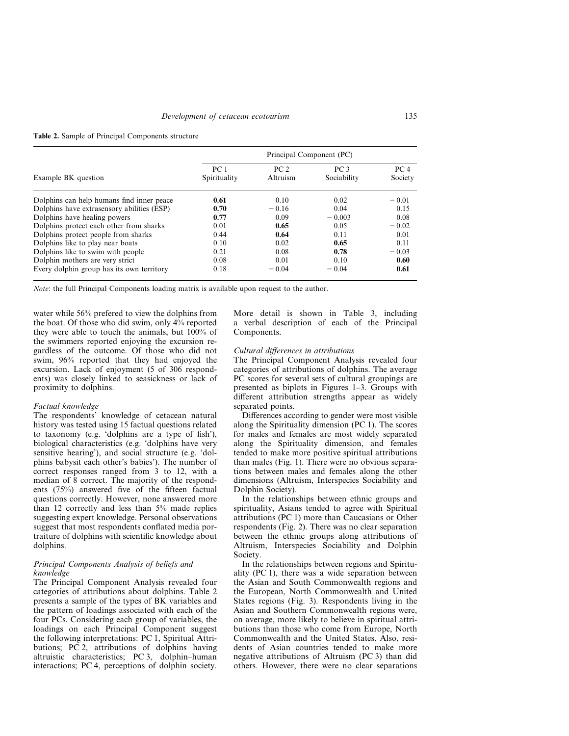|  | Table 2. Sample of Principal Components structure |
|--|---------------------------------------------------|
|--|---------------------------------------------------|

|                                            | Principal Component (PC)        |                             |                                |                            |  |  |
|--------------------------------------------|---------------------------------|-----------------------------|--------------------------------|----------------------------|--|--|
| Example BK question                        | PC <sub>1</sub><br>Spirituality | PC <sub>2</sub><br>Altruism | PC <sub>3</sub><br>Sociability | PC <sub>4</sub><br>Society |  |  |
| Dolphins can help humans find inner peace  | 0.61                            | 0.10                        | 0.02                           | $-0.01$                    |  |  |
| Dolphins have extrasensory abilities (ESP) | 0.70                            | $-0.16$                     | 0.04                           | 0.15                       |  |  |
| Dolphins have healing powers               | 0.77                            | 0.09                        | $-0.003$                       | 0.08                       |  |  |
| Dolphins protect each other from sharks    | 0.01                            | 0.65                        | 0.05                           | $-0.02$                    |  |  |
| Dolphins protect people from sharks        | 0.44                            | 0.64                        | 0.11                           | 0.01                       |  |  |
| Dolphins like to play near boats           | 0.10                            | 0.02                        | 0.65                           | 0.11                       |  |  |
| Dolphins like to swim with people          | 0.21                            | 0.08                        | 0.78                           | $-0.03$                    |  |  |
| Dolphin mothers are very strict            | 0.08                            | 0.01                        | 0.10                           | 0.60                       |  |  |
| Every dolphin group has its own territory  | 0.18                            | $-0.04$                     | $-0.04$                        | 0.61                       |  |  |

*Note*: the full Principal Components loading matrix is available upon request to the author.

water while 56% prefered to view the dolphins from the boat. Of those who did swim, only 4% reported they were able to touch the animals, but 100% of the swimmers reported enjoying the excursion regardless of the outcome. Of those who did not swim, 96% reported that they had enjoyed the excursion. Lack of enjoyment (5 of 306 respondents) was closely linked to seasickness or lack of proximity to dolphins.

#### *Factual knowledge*

The respondents' knowledge of cetacean natural history was tested using 15 factual questions related to taxonomy (e.g. 'dolphins are a type of fish'), biological characteristics (e.g. 'dolphins have very sensitive hearing'), and social structure (e.g. 'dolphins babysit each other's babies'). The number of correct responses ranged from 3 to 12, with a median of 8 correct. The majority of the respondents (75%) answered five of the fifteen factual questions correctly. However, none answered more than 12 correctly and less than 5% made replies suggesting expert knowledge. Personal observations suggest that most respondents conflated media portraiture of dolphins with scientific knowledge about dolphins.

### *Principal Components Analysis of beliefs and knowledge*

The Principal Component Analysis revealed four categories of attributions about dolphins. Table 2 presents a sample of the types of BK variables and the pattern of loadings associated with each of the four PCs. Considering each group of variables, the loadings on each Principal Component suggest the following interpretations: PC 1, Spiritual Attributions; PC 2, attributions of dolphins having altruistic characteristics; PC 3, dolphin–human interactions; PC 4, perceptions of dolphin society.

More detail is shown in Table 3, including a verbal description of each of the Principal Components.

### *Cultural differences in attributions*

The Principal Component Analysis revealed four categories of attributions of dolphins. The average PC scores for several sets of cultural groupings are presented as biplots in Figures 1–3. Groups with different attribution strengths appear as widely separated points.

Differences according to gender were most visible along the Spirituality dimension (PC 1). The scores for males and females are most widely separated along the Spirituality dimension, and females tended to make more positive spiritual attributions than males (Fig. 1). There were no obvious separations between males and females along the other dimensions (Altruism, Interspecies Sociability and Dolphin Society).

In the relationships between ethnic groups and spirituality, Asians tended to agree with Spiritual attributions (PC 1) more than Caucasians or Other respondents (Fig. 2). There was no clear separation between the ethnic groups along attributions of Altruism, Interspecies Sociability and Dolphin Society.

In the relationships between regions and Spirituality (PC 1), there was a wide separation between the Asian and South Commonwealth regions and the European, North Commonwealth and United States regions (Fig. 3). Respondents living in the Asian and Southern Commonwealth regions were, on average, more likely to believe in spiritual attributions than those who come from Europe, North Commonwealth and the United States. Also, residents of Asian countries tended to make more negative attributions of Altruism (PC 3) than did others. However, there were no clear separations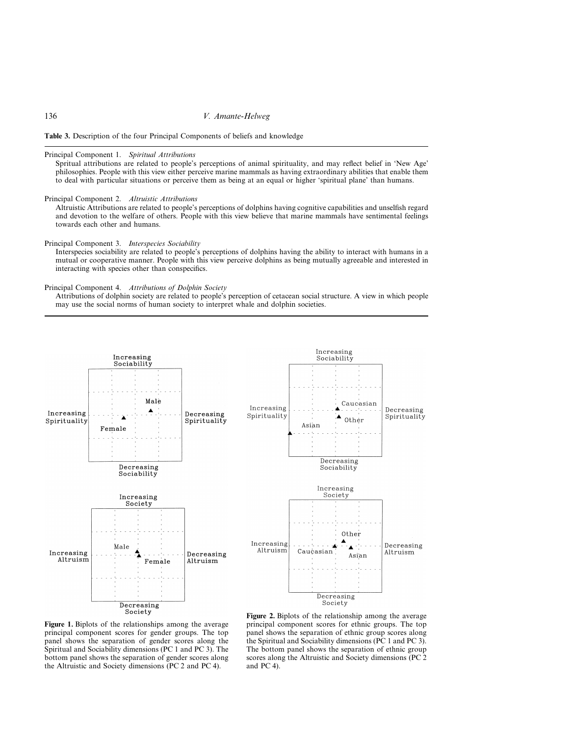

### Principal Component 1. *Spiritual Attributions*

Spritual attributions are related to people's perceptions of animal spirituality, and may reflect belief in 'New Age' philosophies. People with this view either perceive marine mammals as having extraordinary abilities that enable them to deal with particular situations or perceive them as being at an equal or higher 'spiritual plane' than humans.

### Principal Component 2. *Altruistic Attributions*

Altruistic Attributions are related to people's perceptions of dolphins having cognitive capabilities and unselfish regard and devotion to the welfare of others. People with this view believe that marine mammals have sentimental feelings towards each other and humans.

Principal Component 3. *Interspecies Sociability*

Interspecies sociability are related to people's perceptions of dolphins having the ability to interact with humans in a mutual or cooperative manner. People with this view perceive dolphins as being mutually agreeable and interested in interacting with species other than conspecifics.

Principal Component 4. *Attributions of Dolphin Society*

Attributions of dolphin society are related to people's perception of cetacean social structure. A view in which people may use the social norms of human society to interpret whale and dolphin societies.



**Figure 1.** Biplots of the relationships among the average principal component scores for gender groups. The top panel shows the separation of gender scores along the Spiritual and Sociability dimensions (PC 1 and PC 3). The bottom panel shows the separation of gender scores along the Altruistic and Society dimensions (PC 2 and PC 4).

**Figure 2.** Biplots of the relationship among the average principal component scores for ethnic groups. The top panel shows the separation of ethnic group scores along the Spiritual and Sociability dimensions (PC 1 and PC 3). The bottom panel shows the separation of ethnic group scores along the Altruistic and Society dimensions (PC 2 and PC 4).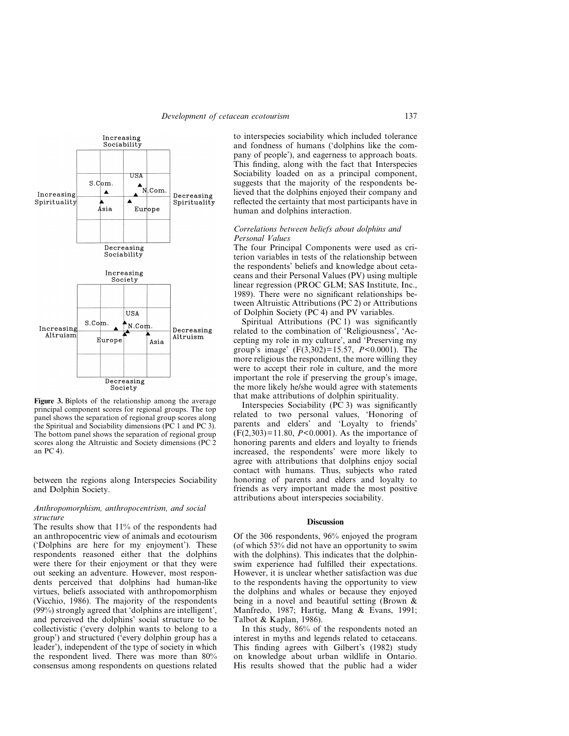

**Figure 3.** Biplots of the relationship among the average principal component scores for regional groups. The top panel shows the separation of regional group scores along the Spiritual and Sociability dimensions (PC 1 and PC 3). The bottom panel shows the separation of regional group scores along the Altruistic and Society dimensions (PC 2 an PC 4).

between the regions along Interspecies Sociability and Dolphin Society.

# *Anthropomorphism, anthropocentrism, and social structure*

The results show that 11% of the respondents had an anthropocentric view of animals and ecotourism ('Dolphins are here for my enjoyment'). These respondents reasoned either that the dolphins were there for their enjoyment or that they were out seeking an adventure. However, most respondents perceived that dolphins had human-like virtues, beliefs associated with anthropomorphism (Vicchio, 1986). The majority of the respondents (99%) strongly agreed that 'dolphins are intelligent', and perceived the dolphins' social structure to be collectivistic ('every dolphin wants to belong to a group') and structured ('every dolphin group has a leader'), independent of the type of society in which the respondent lived. There was more than 80% consensus among respondents on questions related

to interspecies sociability which included tolerance and fondness of humans ('dolphins like the company of people'), and eagerness to approach boats. This finding, along with the fact that Interspecies Sociability loaded on as a principal component, suggests that the majority of the respondents believed that the dolphins enjoyed their company and reflected the certainty that most participants have in human and dolphins interaction.

### *Correlations between beliefs about dolphins and Personal Values*

The four Principal Components were used as criterion variables in tests of the relationship between the respondents' beliefs and knowledge about cetaceans and their Personal Values (PV) using multiple linear regression (PROC GLM; SAS Institute, Inc., 1989). There were no significant relationships between Altruistic Attributions (PC 2) or Attributions of Dolphin Society (PC 4) and PV variables.

Spiritual Attributions (PC 1) was significantly related to the combination of 'Religiousness', 'Accepting my role in my culture', and 'Preserving my group's image' (F(3,302)=15.57, *P*<0.0001). The more religious the respondent, the more willing they were to accept their role in culture, and the more important the role if preserving the group's image, the more likely he/she would agree with statements that make attributions of dolphin spirituality.

Interspecies Sociability (PC 3) was significantly related to two personal values, 'Honoring of parents and elders' and 'Loyalty to friends' (F(2,303)=11.80, *P*<0.0001). As the importance of honoring parents and elders and loyalty to friends increased, the respondents' were more likely to agree with attributions that dolphins enjoy social contact with humans. Thus, subjects who rated honoring of parents and elders and loyalty to friends as very important made the most positive attributions about interspecies sociability.

### **Discussion**

Of the 306 respondents, 96% enjoyed the program (of which 53% did not have an opportunity to swim with the dolphins). This indicates that the dolphinswim experience had fulfilled their expectations. However, it is unclear whether satisfaction was due to the respondents having the opportunity to view the dolphins and whales or because they enjoyed being in a novel and beautiful setting (Brown & Manfredo, 1987; Hartig, Mang & Evans, 1991; Talbot & Kaplan, 1986).

In this study, 86% of the respondents noted an interest in myths and legends related to cetaceans. This finding agrees with Gilbert's (1982) study on knowledge about urban wildlife in Ontario. His results showed that the public had a wider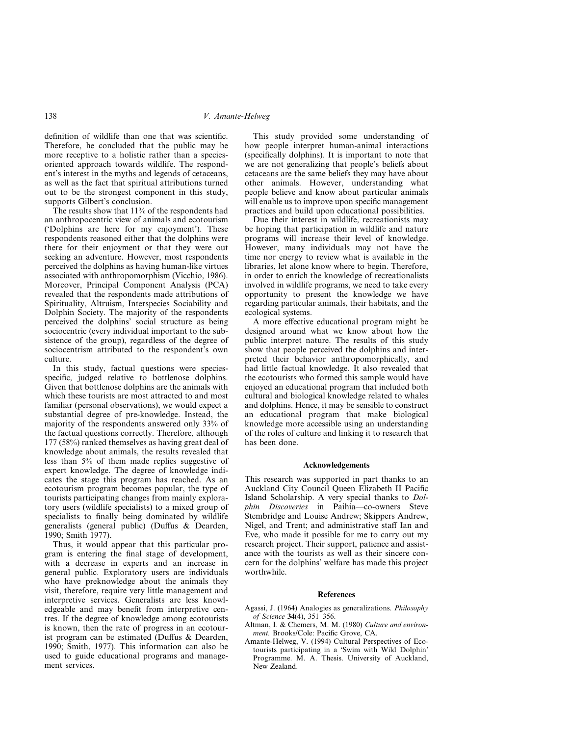definition of wildlife than one that was scientific. Therefore, he concluded that the public may be more receptive to a holistic rather than a speciesoriented approach towards wildlife. The respondent's interest in the myths and legends of cetaceans, as well as the fact that spiritual attributions turned out to be the strongest component in this study, supports Gilbert's conclusion.

The results show that 11% of the respondents had an anthropocentric view of animals and ecotourism ('Dolphins are here for my enjoyment'). These respondents reasoned either that the dolphins were there for their enjoyment or that they were out seeking an adventure. However, most respondents perceived the dolphins as having human-like virtues associated with anthropomorphism (Vicchio, 1986). Moreover, Principal Component Analysis (PCA) revealed that the respondents made attributions of Spirituality, Altruism, Interspecies Sociability and Dolphin Society. The majority of the respondents perceived the dolphins' social structure as being sociocentric (every individual important to the subsistence of the group), regardless of the degree of sociocentrism attributed to the respondent's own culture.

In this study, factual questions were speciesspecific, judged relative to bottlenose dolphins. Given that bottlenose dolphins are the animals with which these tourists are most attracted to and most familiar (personal observations), we would expect a substantial degree of pre-knowledge. Instead, the majority of the respondents answered only 33% of the factual questions correctly. Therefore, although 177 (58%) ranked themselves as having great deal of knowledge about animals, the results revealed that less than 5% of them made replies suggestive of expert knowledge. The degree of knowledge indicates the stage this program has reached. As an ecotourism program becomes popular, the type of tourists participating changes from mainly exploratory users (wildlife specialists) to a mixed group of specialists to finally being dominated by wildlife generalists (general public) (Duffus & Dearden, 1990; Smith 1977).

Thus, it would appear that this particular program is entering the final stage of development, with a decrease in experts and an increase in general public. Exploratory users are individuals who have preknowledge about the animals they visit, therefore, require very little management and interpretive services. Generalists are less knowledgeable and may benefit from interpretive centres. If the degree of knowledge among ecotourists is known, then the rate of progress in an ecotourist program can be estimated (Duffus & Dearden, 1990; Smith, 1977). This information can also be used to guide educational programs and management services.

This study provided some understanding of how people interpret human-animal interactions (specifically dolphins). It is important to note that we are not generalizing that people's beliefs about cetaceans are the same beliefs they may have about other animals. However, understanding what people believe and know about particular animals will enable us to improve upon specific management practices and build upon educational possibilities.

Due their interest in wildlife, recreationists may be hoping that participation in wildlife and nature programs will increase their level of knowledge. However, many individuals may not have the time nor energy to review what is available in the libraries, let alone know where to begin. Therefore, in order to enrich the knowledge of recreationalists involved in wildlife programs, we need to take every opportunity to present the knowledge we have regarding particular animals, their habitats, and the ecological systems.

A more effective educational program might be designed around what we know about how the public interpret nature. The results of this study show that people perceived the dolphins and interpreted their behavior anthropomorphically, and had little factual knowledge. It also revealed that the ecotourists who formed this sample would have enjoyed an educational program that included both cultural and biological knowledge related to whales and dolphins. Hence, it may be sensible to construct an educational program that make biological knowledge more accessible using an understanding of the roles of culture and linking it to research that has been done.

### **Acknowledgements**

This research was supported in part thanks to an Auckland City Council Queen Elizabeth II Pacific Island Scholarship. A very special thanks to *Dolphin Discoveries* in Paihia—co-owners Steve Stembridge and Louise Andrew; Skippers Andrew, Nigel, and Trent; and administrative staff Ian and Eve, who made it possible for me to carry out my research project. Their support, patience and assistance with the tourists as well as their sincere concern for the dolphins' welfare has made this project worthwhile.

#### **References**

- Agassi, J. (1964) Analogies as generalizations. *Philosophy of Science* **34**(4), 351–356.
- Altman, I. & Chemers, M. M. (1980) *Culture and environment.* Brooks/Cole: Pacific Grove, CA.
- Amante-Helweg, V. (1994) Cultural Perspectives of Ecotourists participating in a 'Swim with Wild Dolphin' Programme. M. A. Thesis. University of Auckland, New Zealand.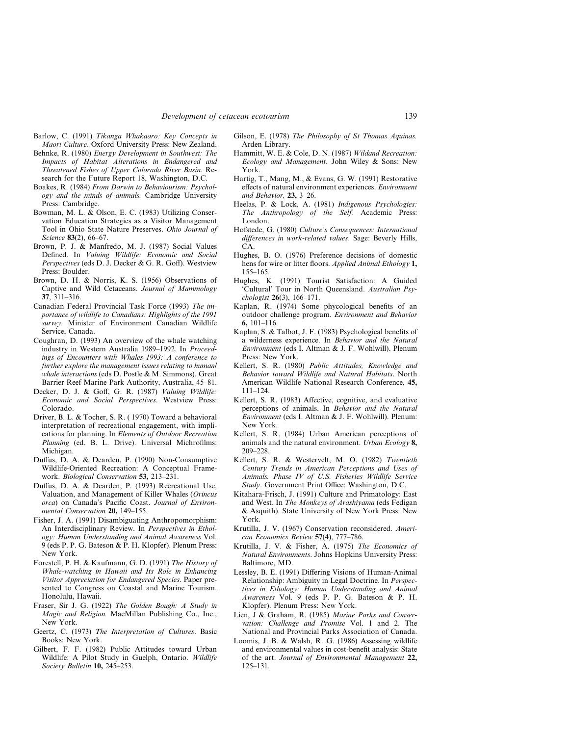- Barlow, C. (1991) *Tikanga Whakaaro: Key Concepts in Maori Culture*. Oxford University Press: New Zealand.
- Behnke, R. (1980) *Energy Development in Southwest: The Impacts of Habitat Alterations in Endangered and Threatened Fishes of Upper Colorado River Basin*. Research for the Future Report 18, Washington, D.C.
- Boakes, R. (1984) *From Darwin to Behaviourism: Psychology and the minds of animals.* Cambridge University Press: Cambridge.
- Bowman, M. L. & Olson, E. C. (1983) Utilizing Conservation Education Strategies as a Visitor Management Tool in Ohio State Nature Preserves. *Ohio Journal of Science* **83**(2), 66–67.
- Brown, P. J. & Manfredo, M. J. (1987) Social Values Defined. In *Valuing Wildlife: Economic and Social Perspectives* (eds D. J. Decker & G. R. Goff). Westview Press: Boulder.
- Brown, D. H. & Norris, K. S. (1956) Observations of Captive and Wild Cetaceans. *Journal of Mammology* **37**, 311–316.
- Canadian Federal Provincial Task Force (1993) *The importance of wildlife to Canadians: Highlights of the 1991 survey.* Minister of Environment Canadian Wildlife Service, Canada.
- Coughran, D. (1993) An overview of the whale watching industry in Western Australia 1989–1992. In *Proceedings of Encounters with Whales 1993: A conference to further explore the management issues relating to human/ whale interactions* (eds D. Postle & M. Simmons). Great Barrier Reef Marine Park Authority, Australia, 45–81.
- Decker, D. J. & Goff, G. R. (1987) *Valuing Wildlife: Economic and Social Perspectives*. Westview Press: Colorado.
- Driver, B. L. & Tocher, S. R. ( 1970) Toward a behavioral interpretation of recreational engagement, with implications for planning. In *Elements of Outdoor Recreation Planning* (ed. B. L. Drive). Universal Michrofilms: Michigan.
- Duffus, D. A. & Dearden, P. (1990) Non-Consumptive Wildlife-Oriented Recreation: A Conceptual Framework. *Biological Conservation* **53,** 213–231.
- Duffus, D. A. & Dearden, P. (1993) Recreational Use, Valuation, and Management of Killer Whales (*Orincus orca*) on Canada's Pacific Coast. *Journal of Environmental Conservation* **20,** 149–155.
- Fisher, J. A. (1991) Disambiguating Anthropomorphism: An Interdisciplinary Review. In *Perspectives in Ethology: Human Understanding and Animal Awareness* Vol. 9 (eds P. P. G. Bateson & P. H. Klopfer). Plenum Press: New York.
- Forestell, P. H. & Kaufmann, G. D. (1991) *The History of Whale-watching in Hawaii and Its Role in Enhancing Visitor Appreciation for Endangered Species*. Paper presented to Congress on Coastal and Marine Tourism. Honolulu, Hawaii.
- Fraser, Sir J. G. (1922) *The Golden Bough: A Study in Magic and Religion.* MacMillan Publishing Co., Inc., New York.
- Geertz, C. (1973) *The Interpretation of Cultures*. Basic Books: New York.
- Gilbert, F. F. (1982) Public Attitudes toward Urban Wildlife: A Pilot Study in Guelph, Ontario. *Wildlife Society Bulletin* **10,** 245–253.
- Gilson, E. (1978) *The Philosophy of St Thomas Aquinas.* Arden Library.
- Hammitt, W. E. & Cole, D. N. (1987) *Wildand Recreation: Ecology and Management*. John Wiley & Sons: New York.
- Hartig, T., Mang, M., & Evans, G. W. (1991) Restorative effects of natural environment experiences. *Environment and Behavior,* **23,** 3–26.
- Heelas, P. & Lock, A. (1981) *Indigenous Psychologies: The Anthropology of the Self.* Academic Press: London.
- Hofstede, G. (1980) *Culture's Consequences: International differences in work-related values*. Sage: Beverly Hills, CA.
- Hughes, B. O. (1976) Preference decisions of domestic hens for wire or litter floors. *Applied Animal Ethology* **1,** 155–165.
- Hughes, K. (1991) Tourist Satisfaction: A Guided 'Cultural' Tour in North Queensland. *Australian Psychologist* **26**(3), 166–171.
- Kaplan, R. (1974) Some phycological benefits of an outdoor challenge program. *Environment and Behavior* **6,** 101–116.
- Kaplan, S. & Talbot, J. F. (1983) Psychological benefits of a wilderness experience. In *Behavior and the Natural Environment* (eds I. Altman & J. F. Wohlwill). Plenum Press: New York.
- Kellert, S. R. (1980) *Public Attitudes, Knowledge and Behavior toward Wildlife and Natural Habitats*. North American Wildlife National Research Conference, **45,** 111–124.
- Kellert, S. R. (1983) Affective, cognitive, and evaluative perceptions of animals. In *Behavior and the Natural Environment* (eds I. Altman & J. F. Wohlwill). Plenum: New York.
- Kellert, S. R. (1984) Urban American perceptions of animals and the natural environment. *Urban Ecology* **8,** 209–228.
- Kellert, S. R. & Westervelt, M. O. (1982) *Twentieth Century Trends in American Perceptions and Uses of Animals. Phase IV of U.S. Fisheries Wildlife Service Study*. Government Print Office: Washington, D.C.
- Kitahara-Frisch, J. (1991) Culture and Primatology: East and West. In *The Monkeys of Arashiyama* (eds Fedigan & Asquith). State University of New York Press: New York.
- Krutilla, J. V. (1967) Conservation reconsidered. *American Economics Review* **57**(4), 777–786.
- Krutilla, J. V. & Fisher, A. (1975) *The Economics of Natural Environments*. Johns Hopkins University Press: Baltimore, MD.
- Lessley, B. E. (1991) Differing Visions of Human-Animal Relationship: Ambiguity in Legal Doctrine. In *Perspectives in Ethology: Human Understanding and Animal Awareness* Vol. 9 (eds P. P. G. Bateson & P. H. Klopfer). Plenum Press: New York.
- Lien, J & Graham, R. (1985) *Marine Parks and Conservation: Challenge and Promise* Vol. 1 and 2. The National and Provincial Parks Association of Canada.
- Loomis, J. B. & Walsh, R. G. (1986) Assessing wildlife and environmental values in cost-benefit analysis: State of the art. *Journal of Environmental Management* **22,** 125–131.